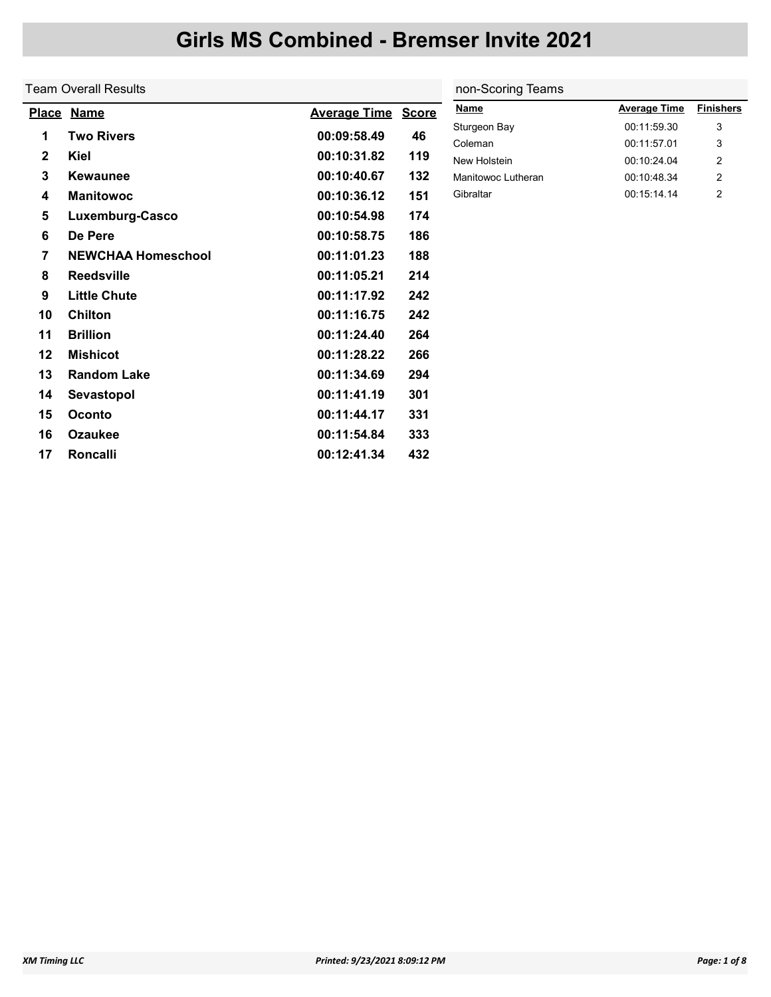|              | <b>Team Overall Results</b> |                           |     | non-Scoring Teams       |                            |                  |  |  |
|--------------|-----------------------------|---------------------------|-----|-------------------------|----------------------------|------------------|--|--|
|              | Place Name                  | <b>Average Time Score</b> |     | <b>Name</b>             | <b>Average Time</b>        | <b>Finishers</b> |  |  |
| 1            | <b>Two Rivers</b>           | 00:09:58.49               | 46  | Sturgeon Bay<br>Coleman | 00:11:59.30<br>00:11:57.01 | 3<br>3           |  |  |
| $\mathbf{2}$ | Kiel                        | 00:10:31.82               | 119 | New Holstein            | 00:10:24.04                | 2                |  |  |
| $\mathbf{3}$ | <b>Kewaunee</b>             | 00:10:40.67               | 132 | Manitowoc Lutheran      | 00:10:48.34                | 2                |  |  |
| 4            | <b>Manitowoc</b>            | 00:10:36.12               | 151 | Gibraltar               | 00:15:14.14                | $\overline{2}$   |  |  |
| $\sqrt{5}$   | Luxemburg-Casco             | 00:10:54.98               | 174 |                         |                            |                  |  |  |
| 6            | De Pere                     | 00:10:58.75               | 186 |                         |                            |                  |  |  |
| 7            | <b>NEWCHAA Homeschool</b>   | 00:11:01.23               | 188 |                         |                            |                  |  |  |
| 8            | <b>Reedsville</b>           | 00:11:05.21               | 214 |                         |                            |                  |  |  |
| 9            | <b>Little Chute</b>         | 00:11:17.92               | 242 |                         |                            |                  |  |  |
| 10           | <b>Chilton</b>              | 00:11:16.75               | 242 |                         |                            |                  |  |  |
| 11           | <b>Brillion</b>             | 00:11:24.40               | 264 |                         |                            |                  |  |  |
| 12           | <b>Mishicot</b>             | 00:11:28.22               | 266 |                         |                            |                  |  |  |
| 13           | <b>Random Lake</b>          | 00:11:34.69               | 294 |                         |                            |                  |  |  |
| 14           | Sevastopol                  | 00:11:41.19               | 301 |                         |                            |                  |  |  |
| 15           | Oconto                      | 00:11:44.17               | 331 |                         |                            |                  |  |  |
| 16           | <b>Ozaukee</b>              | 00:11:54.84               | 333 |                         |                            |                  |  |  |
| 17           | Roncalli                    | 00:12:41.34               | 432 |                         |                            |                  |  |  |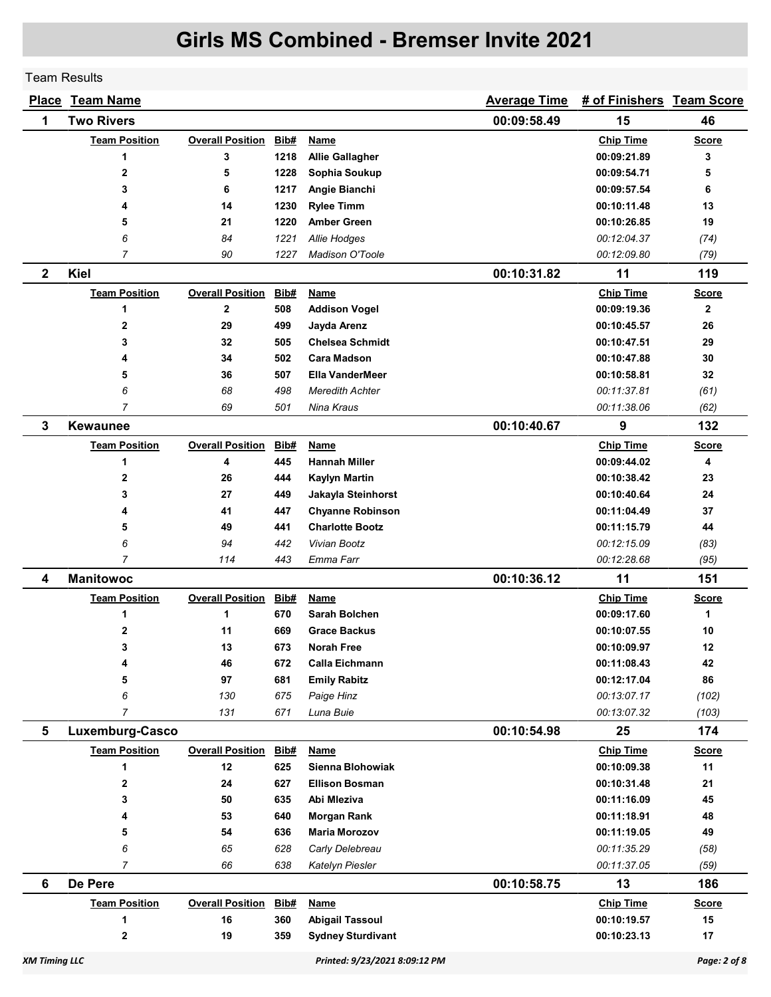Team Results

|                      | <b>Place Team Name</b> |                              |      |                               | <b>Average Time</b> | # of Finishers Team Score |              |
|----------------------|------------------------|------------------------------|------|-------------------------------|---------------------|---------------------------|--------------|
| 1                    | <b>Two Rivers</b>      |                              |      |                               | 00:09:58.49         | 15                        | 46           |
|                      | <b>Team Position</b>   | <b>Overall Position</b>      | Bib# | Name                          |                     | <b>Chip Time</b>          | <b>Score</b> |
|                      | 1                      | 3                            | 1218 | <b>Allie Gallagher</b>        |                     | 00:09:21.89               | 3            |
|                      | $\mathbf 2$            | 5                            | 1228 | Sophia Soukup                 |                     | 00:09:54.71               | 5            |
|                      | 3                      | 6                            | 1217 | Angie Bianchi                 |                     | 00:09:57.54               | 6            |
|                      | 4                      | 14                           | 1230 | <b>Rylee Timm</b>             |                     | 00:10:11.48               | 13           |
|                      | 5                      | 21                           | 1220 | <b>Amber Green</b>            |                     | 00:10:26.85               | 19           |
|                      | 6                      | 84                           | 1221 | Allie Hodges                  |                     | 00:12:04.37               | (74)         |
|                      | $\overline{7}$         | 90                           | 1227 | <b>Madison O'Toole</b>        |                     | 00:12:09.80               | (79)         |
| $\mathbf{2}$         | Kiel                   |                              |      |                               | 00:10:31.82         | 11                        | 119          |
|                      | <b>Team Position</b>   | <b>Overall Position</b>      | Bib# | Name                          |                     | <b>Chip Time</b>          | <b>Score</b> |
|                      | 1                      | $\mathbf{2}$                 | 508  | <b>Addison Vogel</b>          |                     | 00:09:19.36               | $\mathbf{2}$ |
|                      | $\mathbf 2$            | 29                           | 499  | Jayda Arenz                   |                     | 00:10:45.57               | 26           |
|                      | 3                      | 32                           | 505  | <b>Chelsea Schmidt</b>        |                     | 00:10:47.51               | 29           |
|                      | 4                      | 34                           | 502  | <b>Cara Madson</b>            |                     | 00:10:47.88               | 30           |
|                      | 5                      | 36                           | 507  | <b>Ella VanderMeer</b>        |                     | 00:10:58.81               | 32           |
|                      | 6                      | 68                           | 498  | Meredith Achter               |                     | 00:11:37.81               | (61)         |
|                      | 7                      | 69                           | 501  | Nina Kraus                    |                     | 00:11:38.06               | (62)         |
| 3                    | <b>Kewaunee</b>        |                              |      |                               | 00:10:40.67         | 9                         | 132          |
|                      | <b>Team Position</b>   | <b>Overall Position</b>      | Bib# | <u>Name</u>                   |                     | <b>Chip Time</b>          | <u>Score</u> |
|                      | 1                      | 4                            | 445  | <b>Hannah Miller</b>          |                     | 00:09:44.02               | 4            |
|                      | $\mathbf 2$            | 26                           | 444  | <b>Kaylyn Martin</b>          |                     | 00:10:38.42               | 23           |
|                      | 3                      | 27                           | 449  | Jakayla Steinhorst            |                     | 00:10:40.64               | 24           |
|                      | 4                      | 41                           | 447  | <b>Chyanne Robinson</b>       |                     | 00:11:04.49               | 37           |
|                      | 5                      | 49                           | 441  | <b>Charlotte Bootz</b>        |                     | 00:11:15.79               | 44           |
|                      | 6                      | 94                           | 442  | Vivian Bootz                  |                     | 00:12:15.09               | (83)         |
|                      | $\overline{7}$         | 114                          | 443  | Emma Farr                     |                     | 00:12:28.68               | (95)         |
| 4                    | <b>Manitowoc</b>       |                              |      |                               | 00:10:36.12         | 11                        | 151          |
|                      | <b>Team Position</b>   | <b>Overall Position</b>      | Bib# | <u>Name</u>                   |                     | <b>Chip Time</b>          | <b>Score</b> |
|                      | 1                      | 1                            | 670  | Sarah Bolchen                 |                     | 00:09:17.60               | 1            |
|                      | $\mathbf 2$            | 11                           | 669  | <b>Grace Backus</b>           |                     | 00:10:07.55               | 10           |
|                      | 3                      | 13                           | 673  | Norah Free                    |                     | 00:10:09.97               | 12           |
|                      | 4                      | 46                           | 672  | <b>Calla Eichmann</b>         |                     | 00:11:08.43               | 42           |
|                      | 5                      | 97                           | 681  | <b>Emily Rabitz</b>           |                     | 00:12:17.04               | 86           |
|                      | 6                      | 130                          | 675  | Paige Hinz                    |                     | 00:13:07.17               | (102)        |
|                      | $\overline{7}$         | 131                          | 671  | Luna Buie                     |                     | 00:13:07.32               | (103)        |
| 5                    | Luxemburg-Casco        |                              |      |                               | 00:10:54.98         | 25                        | 174          |
|                      | <b>Team Position</b>   | <b>Overall Position Bib#</b> |      | <b>Name</b>                   |                     | <b>Chip Time</b>          | <b>Score</b> |
|                      | 1                      | 12                           | 625  | Sienna Blohowiak              |                     | 00:10:09.38               | 11           |
|                      | 2                      | 24                           | 627  | <b>Ellison Bosman</b>         |                     | 00:10:31.48               | 21           |
|                      | 3                      | 50                           | 635  | Abi Mleziva                   |                     | 00:11:16.09               | 45           |
|                      | 4                      | 53                           | 640  | <b>Morgan Rank</b>            |                     | 00:11:18.91               | 48           |
|                      | 5                      | 54                           | 636  | <b>Maria Morozov</b>          |                     | 00:11:19.05               | 49           |
|                      | 6                      | 65                           | 628  | Carly Delebreau               |                     | 00:11:35.29               | (58)         |
|                      | $\overline{7}$         | 66                           | 638  | Katelyn Piesler               |                     | 00:11:37.05               | (59)         |
| 6                    | De Pere                |                              |      |                               | 00:10:58.75         | 13                        | 186          |
|                      | <b>Team Position</b>   | <b>Overall Position</b>      | Bib# | <b>Name</b>                   |                     | <b>Chip Time</b>          | <b>Score</b> |
|                      | 1                      | 16                           | 360  | <b>Abigail Tassoul</b>        |                     | 00:10:19.57               | 15           |
|                      | $\mathbf 2$            | 19                           | 359  | <b>Sydney Sturdivant</b>      |                     | 00:10:23.13               | 17           |
| <b>XM Timing LLC</b> |                        |                              |      | Printed: 9/23/2021 8:09:12 PM |                     |                           | Page: 2 of 8 |
|                      |                        |                              |      |                               |                     |                           |              |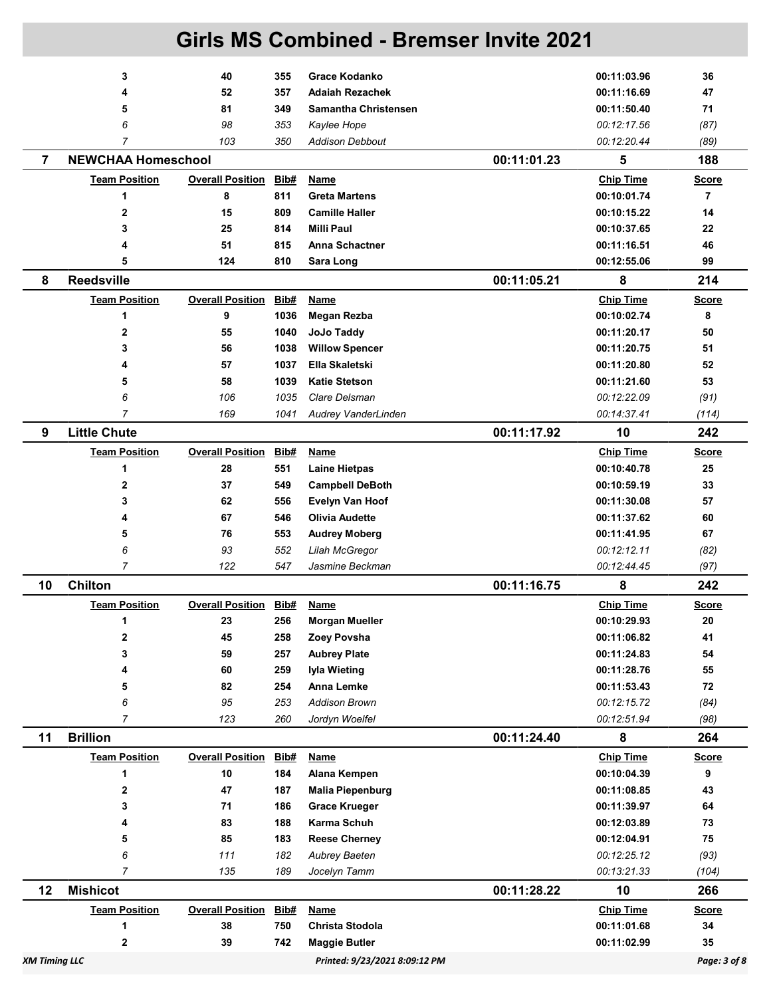|                      | 3                         | 40                           | 355  | <b>Grace Kodanko</b>          |             | 00:11:03.96      | 36             |
|----------------------|---------------------------|------------------------------|------|-------------------------------|-------------|------------------|----------------|
|                      | 4                         | 52                           | 357  | <b>Adaiah Rezachek</b>        |             | 00:11:16.69      | 47             |
|                      | 5                         | 81                           | 349  | <b>Samantha Christensen</b>   |             | 00:11:50.40      | 71             |
|                      | 6                         | 98                           | 353  | Kaylee Hope                   |             | 00:12:17.56      | (87)           |
|                      | 7                         | 103                          | 350  | <b>Addison Debbout</b>        |             | 00:12:20.44      | (89)           |
| $\overline{7}$       | <b>NEWCHAA Homeschool</b> |                              |      |                               | 00:11:01.23 | 5                | 188            |
|                      | <b>Team Position</b>      | <b>Overall Position</b>      | Bib# | Name                          |             | <b>Chip Time</b> | <b>Score</b>   |
|                      | 1                         | 8                            | 811  | <b>Greta Martens</b>          |             | 00:10:01.74      | $\overline{7}$ |
|                      | $\mathbf{2}$              | 15                           | 809  | <b>Camille Haller</b>         |             | 00:10:15.22      | 14             |
|                      | 3                         | 25                           | 814  | <b>Milli Paul</b>             |             | 00:10:37.65      | 22             |
|                      | 4                         | 51                           | 815  | <b>Anna Schactner</b>         |             | 00:11:16.51      | 46             |
|                      | 5                         | 124                          | 810  | Sara Long                     |             | 00:12:55.06      | 99             |
| 8                    | <b>Reedsville</b>         |                              |      |                               | 00:11:05.21 | 8                | 214            |
|                      | <b>Team Position</b>      | <b>Overall Position</b>      | Bib# | <b>Name</b>                   |             | <b>Chip Time</b> | <b>Score</b>   |
|                      | 1                         | 9                            | 1036 | <b>Megan Rezba</b>            |             | 00:10:02.74      | 8              |
|                      | 2                         | 55                           | 1040 | JoJo Taddy                    |             | 00:11:20.17      | 50             |
|                      | 3                         | 56                           | 1038 | <b>Willow Spencer</b>         |             | 00:11:20.75      | 51             |
|                      | 4                         | 57                           | 1037 | Ella Skaletski                |             | 00:11:20.80      | 52             |
|                      | 5                         | 58                           | 1039 | <b>Katie Stetson</b>          |             | 00:11:21.60      | 53             |
|                      | 6                         | 106                          | 1035 | Clare Delsman                 |             | 00:12:22.09      | (91)           |
|                      | $\overline{7}$            | 169                          | 1041 | Audrey VanderLinden           |             | 00:14:37.41      | (114)          |
| 9                    | <b>Little Chute</b>       |                              |      |                               | 00:11:17.92 | 10               | 242            |
|                      | <b>Team Position</b>      | <b>Overall Position</b>      | Bib# | Name                          |             | <b>Chip Time</b> | Score          |
|                      | 1                         | 28                           | 551  | <b>Laine Hietpas</b>          |             | 00:10:40.78      | 25             |
|                      | 2                         | 37                           | 549  | <b>Campbell DeBoth</b>        |             | 00:10:59.19      | 33             |
|                      | 3                         | 62                           | 556  | <b>Evelyn Van Hoof</b>        |             | 00:11:30.08      | 57             |
|                      | 4                         | 67                           | 546  | Olivia Audette                |             | 00:11:37.62      | 60             |
|                      | 5                         | 76                           | 553  | <b>Audrey Moberg</b>          |             | 00:11:41.95      | 67             |
|                      | 6                         | 93                           | 552  | Lilah McGregor                |             | 00:12:12.11      | (82)           |
|                      | $\overline{7}$            | 122                          | 547  | Jasmine Beckman               |             | 00:12:44.45      | (97)           |
| 10                   | <b>Chilton</b>            |                              |      |                               | 00:11:16.75 | 8                | 242            |
|                      | <b>Team Position</b>      | <b>Overall Position</b>      | Bib# | <b>Name</b>                   |             | <b>Chip Time</b> | <u>Score</u>   |
|                      | 1                         | 23                           | 256  | <b>Morgan Mueller</b>         |             | 00:10:29.93      | 20             |
|                      | 2                         | 45                           | 258  | Zoey Povsha                   |             | 00:11:06.82      | 41             |
|                      | 3                         | 59                           | 257  | <b>Aubrey Plate</b>           |             | 00:11:24.83      | 54             |
|                      | 4                         | 60                           | 259  | Iyla Wieting                  |             | 00:11:28.76      | 55             |
|                      | 5                         | 82                           | 254  | Anna Lemke                    |             | 00:11:53.43      | 72             |
|                      | 6                         | 95                           | 253  | <b>Addison Brown</b>          |             | 00:12:15.72      | (84)           |
|                      | $\overline{7}$            | 123                          | 260  | Jordyn Woelfel                |             | 00:12:51.94      | (98)           |
| 11                   | <b>Brillion</b>           |                              |      |                               | 00:11:24.40 | 8                | 264            |
|                      | <b>Team Position</b>      | <b>Overall Position Bib#</b> |      | <b>Name</b>                   |             | <b>Chip Time</b> | <b>Score</b>   |
|                      | 1                         | 10                           | 184  | Alana Kempen                  |             | 00:10:04.39      | 9              |
|                      | 2                         | 47                           | 187  | <b>Malia Piepenburg</b>       |             | 00:11:08.85      | 43             |
|                      | 3                         | 71                           | 186  | <b>Grace Krueger</b>          |             | 00:11:39.97      | 64             |
|                      | 4                         | 83                           | 188  | Karma Schuh                   |             | 00:12:03.89      | 73             |
|                      | 5                         | 85                           | 183  | <b>Reese Cherney</b>          |             | 00:12:04.91      | 75             |
|                      | 6                         | 111                          | 182  | Aubrey Baeten                 |             | 00:12:25.12      | (93)           |
|                      | $\overline{7}$            | 135                          | 189  | Jocelyn Tamm                  |             | 00:13:21.33      | (104)          |
| 12                   | <b>Mishicot</b>           |                              |      |                               | 00:11:28.22 | 10               | 266            |
|                      | <b>Team Position</b>      | <b>Overall Position</b>      | Bib# | Name                          |             | <b>Chip Time</b> | <b>Score</b>   |
|                      | 1                         | 38                           | 750  | Christa Stodola               |             | 00:11:01.68      | 34             |
|                      | 2                         | 39                           | 742  | <b>Maggie Butler</b>          |             | 00:11:02.99      | 35             |
| <b>XM Timing LLC</b> |                           |                              |      | Printed: 9/23/2021 8:09:12 PM |             |                  | Page: 3 of 8   |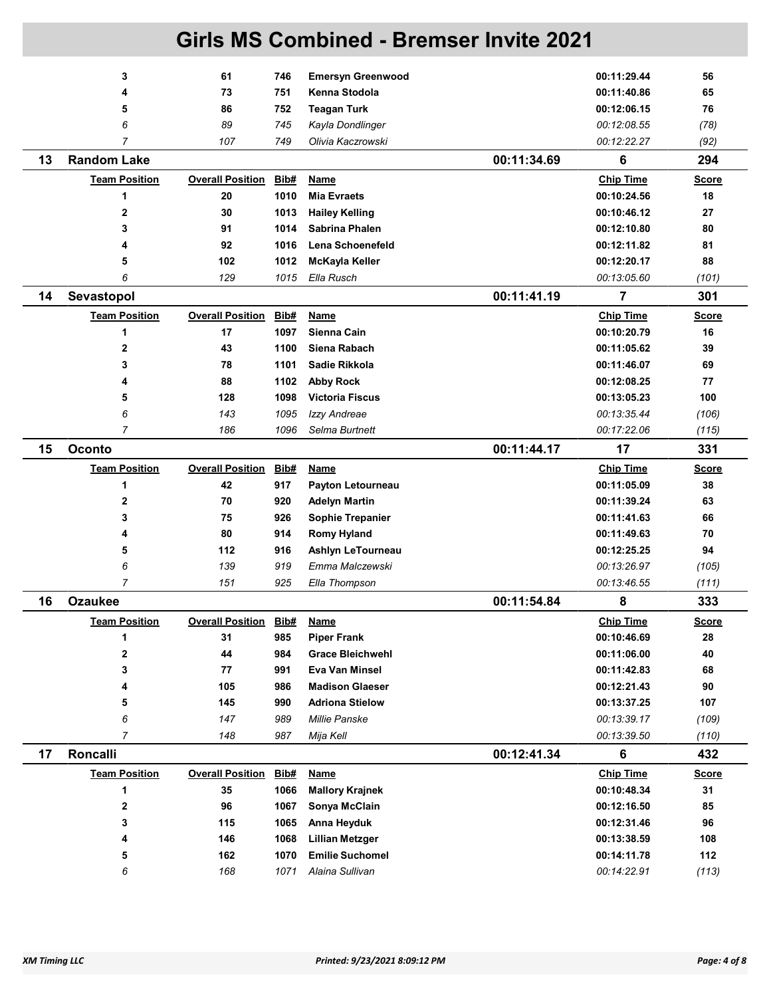|    | 3                         | 61                      | 746          | <b>Emersyn Greenwood</b>                         |             | 00:11:29.44                | 56             |
|----|---------------------------|-------------------------|--------------|--------------------------------------------------|-------------|----------------------------|----------------|
|    | 4                         | 73                      | 751          | Kenna Stodola                                    |             | 00:11:40.86                | 65             |
|    | 5                         | 86                      | 752          | <b>Teagan Turk</b>                               |             | 00:12:06.15                | 76             |
|    | 6                         | 89                      | 745          | Kayla Dondlinger                                 |             | 00:12:08.55                | (78)           |
|    | $\overline{7}$            | 107                     | 749          | Olivia Kaczrowski                                |             | 00:12:22.27                | (92)           |
| 13 | <b>Random Lake</b>        |                         |              |                                                  | 00:11:34.69 | 6                          | 294            |
|    | <b>Team Position</b>      | <b>Overall Position</b> | Bib#         | Name                                             |             | <b>Chip Time</b>           | <b>Score</b>   |
|    | 1                         | 20                      | 1010         | <b>Mia Evraets</b>                               |             | 00:10:24.56                | 18             |
|    | $\overline{2}$            | 30                      | 1013         | <b>Hailey Kelling</b>                            |             | 00:10:46.12                | 27             |
|    | 3                         | 91                      | 1014         | Sabrina Phalen                                   |             | 00:12:10.80                | 80             |
|    | 4                         | 92                      | 1016         | Lena Schoenefeld                                 |             | 00:12:11.82                | 81             |
|    | 5                         | 102                     | 1012         | McKayla Keller                                   |             | 00:12:20.17                | 88             |
|    | 6                         | 129                     | 1015         | Ella Rusch                                       |             | 00:13:05.60                | (101)          |
| 14 | Sevastopol                |                         |              |                                                  | 00:11:41.19 | 7                          | 301            |
|    | <b>Team Position</b>      | <b>Overall Position</b> | Bib#         | <b>Name</b>                                      |             | <b>Chip Time</b>           | <b>Score</b>   |
|    | 1                         | 17                      | 1097         | Sienna Cain                                      |             | 00:10:20.79                | 16             |
|    | $\mathbf{2}$              | 43                      | 1100         | Siena Rabach                                     |             | 00:11:05.62                | 39             |
|    | 3                         | 78                      | 1101         | Sadie Rikkola                                    |             | 00:11:46.07                | 69             |
|    | 4                         | 88                      | 1102         | <b>Abby Rock</b>                                 |             | 00:12:08.25                | 77             |
|    | 5                         | 128                     | 1098         | <b>Victoria Fiscus</b>                           |             | 00:13:05.23                | 100            |
|    | 6                         | 143                     | 1095         | Izzy Andreae                                     |             | 00:13:35.44                | (106)          |
|    | $\overline{7}$            | 186                     | 1096         | Selma Burtnett                                   |             | 00:17:22.06                | (115)          |
| 15 | <b>Oconto</b>             |                         |              |                                                  | 00:11:44.17 | 17                         | 331            |
|    | <b>Team Position</b>      | <b>Overall Position</b> | Bib#         | <b>Name</b>                                      |             | <b>Chip Time</b>           | <b>Score</b>   |
|    | 1                         | 42                      | 917          | Payton Letourneau                                |             | 00:11:05.09                | 38             |
|    | 2                         | 70                      | 920          | <b>Adelyn Martin</b>                             |             | 00:11:39.24                | 63             |
|    | 3                         | 75                      | 926          | <b>Sophie Trepanier</b>                          |             | 00:11:41.63                | 66             |
|    | 4                         | 80                      | 914          | <b>Romy Hyland</b>                               |             | 00:11:49.63                | 70             |
|    | 5                         | 112                     | 916          | Ashlyn LeTourneau                                |             | 00:12:25.25                | 94             |
|    | 6                         | 139                     | 919          | Emma Malczewski                                  |             | 00:13:26.97                | (105)          |
|    | 7                         | 151                     | 925          | Ella Thompson                                    |             | 00:13:46.55                | (111)          |
| 16 | <b>Ozaukee</b>            |                         |              |                                                  | 00:11:54.84 | 8                          | 333            |
|    | <b>Team Position</b>      | <b>Overall Position</b> | <b>Bib#</b>  | <b>Name</b>                                      |             | <b>Chip Time</b>           | <b>Score</b>   |
|    | 1                         | 31                      | 985          | <b>Piper Frank</b>                               |             | 00:10:46.69                | 28             |
|    | 2                         | 44                      | 984          | <b>Grace Bleichwehl</b>                          |             | 00:11:06.00                | 40             |
|    | 3                         | 77                      | 991          | Eva Van Minsel                                   |             | 00:11:42.83                | 68             |
|    | 4                         | 105                     | 986          | <b>Madison Glaeser</b>                           |             | 00:12:21.43                | 90             |
|    |                           |                         |              |                                                  |             |                            | 107            |
|    |                           |                         |              |                                                  |             |                            |                |
|    | 5<br>6                    | 145<br>147              | 990<br>989   | <b>Adriona Stielow</b><br>Millie Panske          |             | 00:13:37.25<br>00:13:39.17 |                |
|    | $\overline{7}$            | 148                     | 987          | Mija Kell                                        |             | 00:13:39.50                | (109)<br>(110) |
| 17 | Roncalli                  |                         |              |                                                  | 00:12:41.34 | 6                          | 432            |
|    |                           |                         | <b>Bib#</b>  | <b>Name</b>                                      |             |                            |                |
|    | <b>Team Position</b><br>1 | <b>Overall Position</b> |              |                                                  |             | <b>Chip Time</b>           | <b>Score</b>   |
|    | $\mathbf 2$               | 35                      | 1066<br>1067 | <b>Mallory Krajnek</b>                           |             | 00:10:48.34<br>00:12:16.50 | 31             |
|    | 3                         | 96<br>115               | 1065         | Sonya McClain                                    |             | 00:12:31.46                | 85<br>96       |
|    | 4                         | 146                     | 1068         | Anna Heyduk                                      |             |                            | 108            |
|    | 5                         | 162                     | 1070         | <b>Lillian Metzger</b><br><b>Emilie Suchomel</b> |             | 00:13:38.59<br>00:14:11.78 | 112            |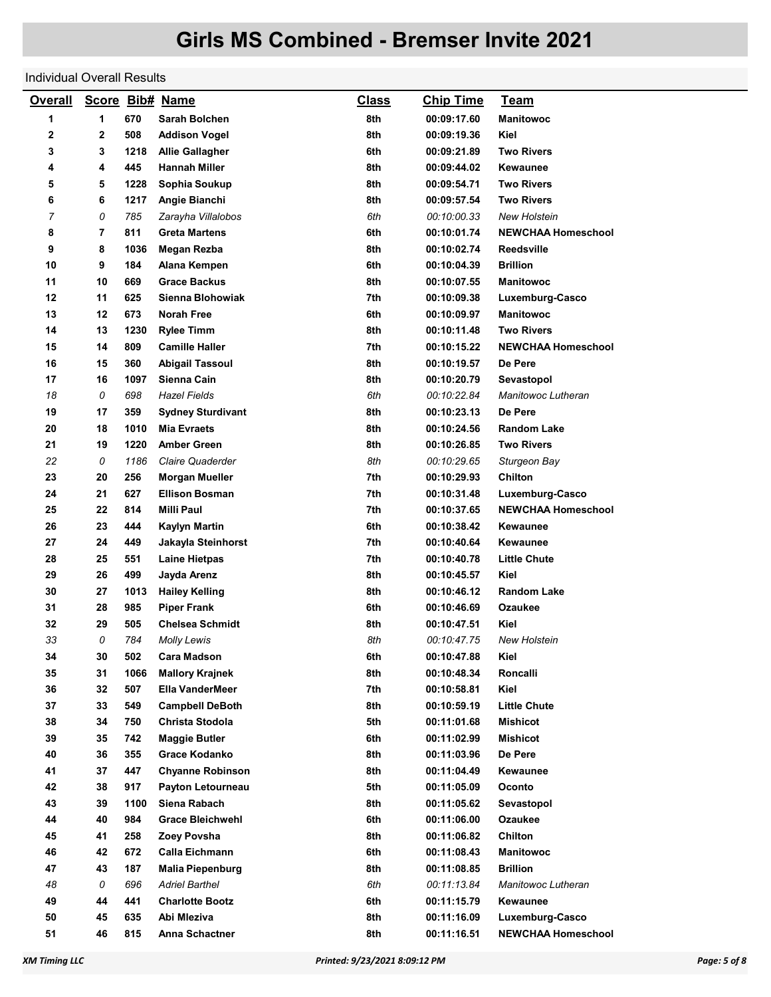#### Individual Overall Results

| <b>Overall</b> | Score Bib# Name |      |                          | <b>Class</b> | <b>Chip Time</b> | <u>Team</u>               |
|----------------|-----------------|------|--------------------------|--------------|------------------|---------------------------|
| 1              | 1               | 670  | Sarah Bolchen            | 8th          | 00:09:17.60      | <b>Manitowoc</b>          |
| 2              | $\mathbf 2$     | 508  | <b>Addison Vogel</b>     | 8th          | 00:09:19.36      | Kiel                      |
| 3              | 3               | 1218 | <b>Allie Gallagher</b>   | 6th          | 00:09:21.89      | <b>Two Rivers</b>         |
| 4              | 4               | 445  | <b>Hannah Miller</b>     | 8th          | 00:09:44.02      | Kewaunee                  |
| 5              | 5               | 1228 | Sophia Soukup            | 8th          | 00:09:54.71      | <b>Two Rivers</b>         |
| 6              | 6               | 1217 | Angie Bianchi            | 8th          | 00:09:57.54      | <b>Two Rivers</b>         |
| 7              | 0               | 785  | Zarayha Villalobos       | 6th          | 00:10:00.33      | <b>New Holstein</b>       |
| 8              | 7               | 811  | <b>Greta Martens</b>     | 6th          | 00:10:01.74      | <b>NEWCHAA Homeschool</b> |
| 9              | 8               | 1036 | <b>Megan Rezba</b>       | 8th          | 00:10:02.74      | <b>Reedsville</b>         |
| 10             | 9               | 184  | Alana Kempen             | 6th          | 00:10:04.39      | <b>Brillion</b>           |
| 11             | 10              | 669  | <b>Grace Backus</b>      | 8th          | 00:10:07.55      | <b>Manitowoc</b>          |
| 12             | 11              | 625  | Sienna Blohowiak         | 7th          | 00:10:09.38      | Luxemburg-Casco           |
| 13             | 12              | 673  | Norah Free               | 6th          | 00:10:09.97      | <b>Manitowoc</b>          |
| 14             | 13              | 1230 | <b>Rylee Timm</b>        | 8th          | 00:10:11.48      | <b>Two Rivers</b>         |
| 15             | 14              | 809  | <b>Camille Haller</b>    | 7th          | 00:10:15.22      | <b>NEWCHAA Homeschool</b> |
| 16             | 15              | 360  | <b>Abigail Tassoul</b>   | 8th          | 00:10:19.57      | De Pere                   |
| 17             | 16              | 1097 | Sienna Cain              | 8th          | 00:10:20.79      | Sevastopol                |
| 18             | 0               | 698  | <b>Hazel Fields</b>      | 6th          | 00:10:22.84      | Manitowoc Lutheran        |
| 19             | 17              | 359  | <b>Sydney Sturdivant</b> | 8th          | 00:10:23.13      | De Pere                   |
| 20             | 18              | 1010 | <b>Mia Evraets</b>       | 8th          | 00:10:24.56      | <b>Random Lake</b>        |
| 21             | 19              | 1220 | <b>Amber Green</b>       | 8th          | 00:10:26.85      | <b>Two Rivers</b>         |
| 22             | 0               | 1186 | Claire Quaderder         | 8th          | 00:10:29.65      | Sturgeon Bay              |
| 23             | 20              | 256  | <b>Morgan Mueller</b>    | 7th          | 00:10:29.93      | <b>Chilton</b>            |
| 24             | 21              | 627  | <b>Ellison Bosman</b>    | 7th          | 00:10:31.48      | Luxemburg-Casco           |
| 25             | 22              | 814  | <b>Milli Paul</b>        | 7th          | 00:10:37.65      | <b>NEWCHAA Homeschool</b> |
| 26             | 23              | 444  | Kaylyn Martin            | 6th          | 00:10:38.42      | Kewaunee                  |
| 27             | 24              | 449  | Jakayla Steinhorst       | 7th          | 00:10:40.64      | Kewaunee                  |
| 28             | 25              | 551  | <b>Laine Hietpas</b>     | 7th          | 00:10:40.78      | <b>Little Chute</b>       |
| 29             | 26              | 499  | Jayda Arenz              | 8th          | 00:10:45.57      | Kiel                      |
| 30             | 27              | 1013 | <b>Hailey Kelling</b>    | 8th          | 00:10:46.12      | <b>Random Lake</b>        |
| 31             | 28              | 985  | <b>Piper Frank</b>       | 6th          | 00:10:46.69      | Ozaukee                   |
| 32             | 29              | 505  | <b>Chelsea Schmidt</b>   | 8th          | 00:10:47.51      | Kiel                      |
| 33             | 0               | 784  | <b>Molly Lewis</b>       | 8th          | 00:10:47.75      | <b>New Holstein</b>       |
| 34             | 30              | 502  | <b>Cara Madson</b>       | 6th          | 00:10:47.88      | Kiel                      |
| 35             | 31              | 1066 | <b>Mallory Krajnek</b>   | 8th          | 00:10:48.34      | Roncalli                  |
| 36             | 32              | 507  | <b>Ella VanderMeer</b>   | 7th          | 00:10:58.81      | Kiel                      |
| 37             | 33              | 549  | <b>Campbell DeBoth</b>   | 8th          | 00:10:59.19      | <b>Little Chute</b>       |
| 38             | 34              | 750  | Christa Stodola          | 5th          | 00:11:01.68      | <b>Mishicot</b>           |
| 39             | 35              | 742  | <b>Maggie Butler</b>     | 6th          | 00:11:02.99      | <b>Mishicot</b>           |
| 40             | 36              | 355  | Grace Kodanko            | 8th          | 00:11:03.96      | De Pere                   |
| 41             | 37              | 447  | <b>Chyanne Robinson</b>  | 8th          | 00:11:04.49      | Kewaunee                  |
| 42             | 38              | 917  | Payton Letourneau        | 5th          | 00:11:05.09      | Oconto                    |
| 43             | 39              | 1100 | Siena Rabach             | 8th          | 00:11:05.62      | Sevastopol                |
| 44             | 40              | 984  | <b>Grace Bleichwehl</b>  | 6th          | 00:11:06.00      | <b>Ozaukee</b>            |
| 45             | 41              | 258  | Zoey Povsha              | 8th          | 00:11:06.82      | Chilton                   |
| 46             | 42              | 672  | Calla Eichmann           | 6th          | 00:11:08.43      | <b>Manitowoc</b>          |
| 47             | 43              | 187  | <b>Malia Piepenburg</b>  | 8th          | 00:11:08.85      | <b>Brillion</b>           |
| 48             | 0               | 696  | <b>Adriel Barthel</b>    | 6th          | 00:11:13.84      | Manitowoc Lutheran        |
| 49             | 44              | 441  | <b>Charlotte Bootz</b>   | 6th          | 00:11:15.79      | Kewaunee                  |
| 50             | 45              | 635  | Abi Mleziva              | 8th          | 00:11:16.09      | Luxemburg-Casco           |
| 51             | 46              | 815  | Anna Schactner           | 8th          | 00:11:16.51      | <b>NEWCHAA Homeschool</b> |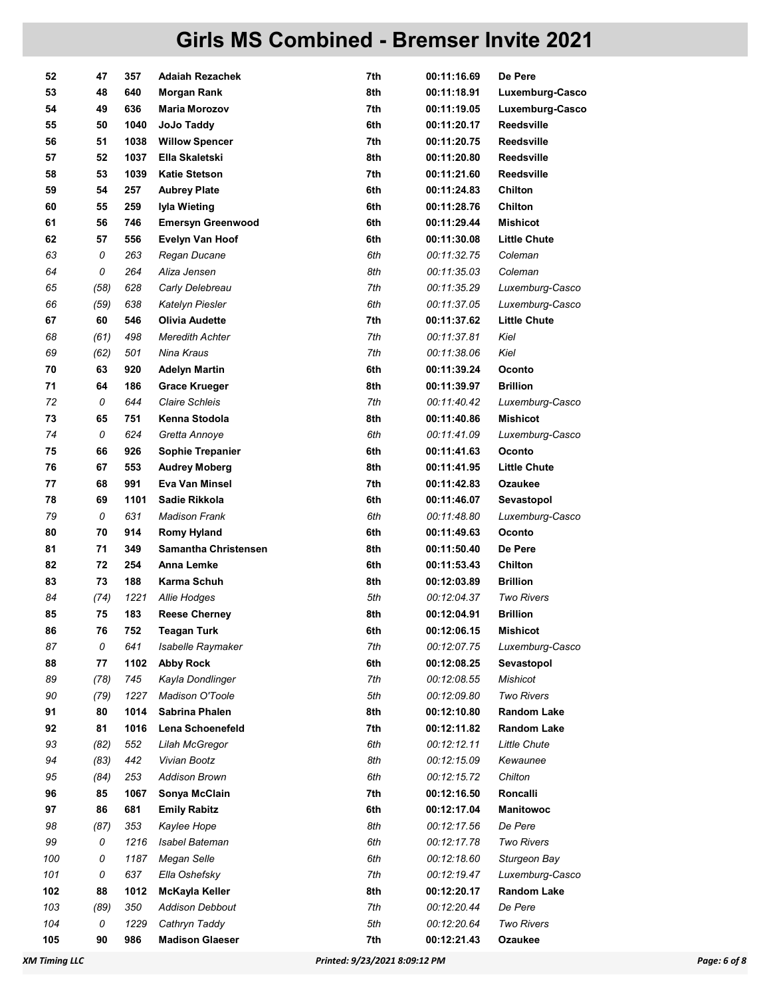| 52  | 47   | 357  | <b>Adaiah Rezachek</b>      | 7th | 00:11:16.69 | De Pere             |
|-----|------|------|-----------------------------|-----|-------------|---------------------|
| 53  | 48   | 640  | <b>Morgan Rank</b>          | 8th | 00:11:18.91 | Luxemburg-Casco     |
| 54  | 49   | 636  | <b>Maria Morozov</b>        | 7th | 00:11:19.05 | Luxemburg-Casco     |
| 55  | 50   | 1040 | JoJo Taddy                  | 6th | 00:11:20.17 | <b>Reedsville</b>   |
| 56  | 51   | 1038 | <b>Willow Spencer</b>       | 7th | 00:11:20.75 | <b>Reedsville</b>   |
| 57  | 52   | 1037 | Ella Skaletski              | 8th | 00:11:20.80 | <b>Reedsville</b>   |
| 58  | 53   | 1039 | <b>Katie Stetson</b>        | 7th | 00:11:21.60 | Reedsville          |
| 59  | 54   | 257  | <b>Aubrey Plate</b>         | 6th | 00:11:24.83 | Chilton             |
| 60  | 55   | 259  | Iyla Wieting                | 6th | 00:11:28.76 | <b>Chilton</b>      |
| 61  | 56   | 746  | <b>Emersyn Greenwood</b>    | 6th | 00:11:29.44 | <b>Mishicot</b>     |
| 62  | 57   | 556  | <b>Evelyn Van Hoof</b>      | 6th | 00:11:30.08 | <b>Little Chute</b> |
| 63  | 0    | 263  | Regan Ducane                | 6th | 00:11:32.75 | Coleman             |
| 64  | 0    | 264  | Aliza Jensen                | 8th | 00:11:35.03 | Coleman             |
| 65  | (58) | 628  | Carly Delebreau             | 7th | 00:11:35.29 | Luxemburg-Casco     |
| 66  | (59) | 638  | Katelyn Piesler             | 6th | 00:11:37.05 | Luxemburg-Casco     |
| 67  | 60   | 546  | <b>Olivia Audette</b>       | 7th | 00:11:37.62 | <b>Little Chute</b> |
| 68  | (61) | 498  | <b>Meredith Achter</b>      | 7th | 00:11:37.81 | Kiel                |
| 69  | (62) | 501  | Nina Kraus                  | 7th | 00:11:38.06 | Kiel                |
| 70  | 63   | 920  | <b>Adelyn Martin</b>        | 6th | 00:11:39.24 | Oconto              |
| 71  | 64   | 186  | <b>Grace Krueger</b>        | 8th | 00:11:39.97 | <b>Brillion</b>     |
| 72  | 0    | 644  | <b>Claire Schleis</b>       | 7th | 00:11:40.42 | Luxemburg-Casco     |
| 73  | 65   | 751  | Kenna Stodola               | 8th | 00:11:40.86 | <b>Mishicot</b>     |
| 74  | 0    | 624  | Gretta Annoye               | 6th | 00:11:41.09 | Luxemburg-Casco     |
| 75  | 66   | 926  | Sophie Trepanier            | 6th | 00:11:41.63 | Oconto              |
| 76  | 67   | 553  | <b>Audrey Moberg</b>        | 8th | 00:11:41.95 | <b>Little Chute</b> |
| 77  | 68   | 991  | Eva Van Minsel              | 7th | 00:11:42.83 | <b>Ozaukee</b>      |
| 78  | 69   | 1101 | Sadie Rikkola               | 6th | 00:11:46.07 | Sevastopol          |
| 79  | 0    | 631  | <b>Madison Frank</b>        | 6th | 00:11:48.80 | Luxemburg-Casco     |
| 80  | 70   | 914  | <b>Romy Hyland</b>          | 6th | 00:11:49.63 | Oconto              |
| 81  | 71   | 349  | <b>Samantha Christensen</b> | 8th | 00:11:50.40 | De Pere             |
| 82  | 72   | 254  | Anna Lemke                  | 6th | 00:11:53.43 | Chilton             |
| 83  | 73   | 188  | Karma Schuh                 | 8th | 00:12:03.89 | <b>Brillion</b>     |
| 84  | (74) | 1221 | Allie Hodges                | 5th | 00:12:04.37 | <b>Two Rivers</b>   |
| 85  | 75   | 183  | <b>Reese Cherney</b>        | 8th | 00:12:04.91 | <b>Brillion</b>     |
| 86  | 76   | 752  | <b>Teagan Turk</b>          | 6th | 00:12:06.15 | Mishicot            |
| 87  | 0    | 641  | Isabelle Raymaker           | 7th | 00:12:07.75 | Luxemburg-Casco     |
| 88  | 77   | 1102 | <b>Abby Rock</b>            | 6th | 00:12:08.25 | Sevastopol          |
| 89  | (78) | 745  | Kayla Dondlinger            | 7th | 00:12:08.55 | <b>Mishicot</b>     |
| 90  | (79) | 1227 | Madison O'Toole             | 5th | 00:12:09.80 | <b>Two Rivers</b>   |
| 91  | 80   | 1014 | Sabrina Phalen              | 8th | 00:12:10.80 | <b>Random Lake</b>  |
| 92  | 81   | 1016 | Lena Schoenefeld            | 7th | 00:12:11.82 | <b>Random Lake</b>  |
| 93  | (82) | 552  | Lilah McGregor              | 6th | 00:12:12.11 | Little Chute        |
| 94  | (83) | 442  | Vivian Bootz                | 8th | 00:12:15.09 | Kewaunee            |
| 95  | (84) | 253  | <b>Addison Brown</b>        | 6th | 00:12:15.72 | Chilton             |
| 96  | 85   | 1067 | Sonya McClain               | 7th | 00:12:16.50 | Roncalli            |
| 97  | 86   | 681  | <b>Emily Rabitz</b>         | 6th | 00:12:17.04 | <b>Manitowoc</b>    |
| 98  | (87) | 353  | Kaylee Hope                 | 8th | 00:12:17.56 | De Pere             |
| 99  | 0    | 1216 | Isabel Bateman              | 6th | 00:12:17.78 | <b>Two Rivers</b>   |
| 100 | 0    | 1187 | Megan Selle                 | 6th | 00:12:18.60 | Sturgeon Bay        |
| 101 | 0    | 637  | Ella Oshefsky               | 7th | 00:12:19.47 | Luxemburg-Casco     |
| 102 | 88   | 1012 | McKayla Keller              | 8th | 00:12:20.17 | <b>Random Lake</b>  |
| 103 | (89) | 350  | <b>Addison Debbout</b>      | 7th | 00:12:20.44 | De Pere             |
| 104 | 0    | 1229 | Cathryn Taddy               | 5th | 00:12:20.64 | <b>Two Rivers</b>   |
| 105 | 90   | 986  | <b>Madison Glaeser</b>      | 7th | 00:12:21.43 | Ozaukee             |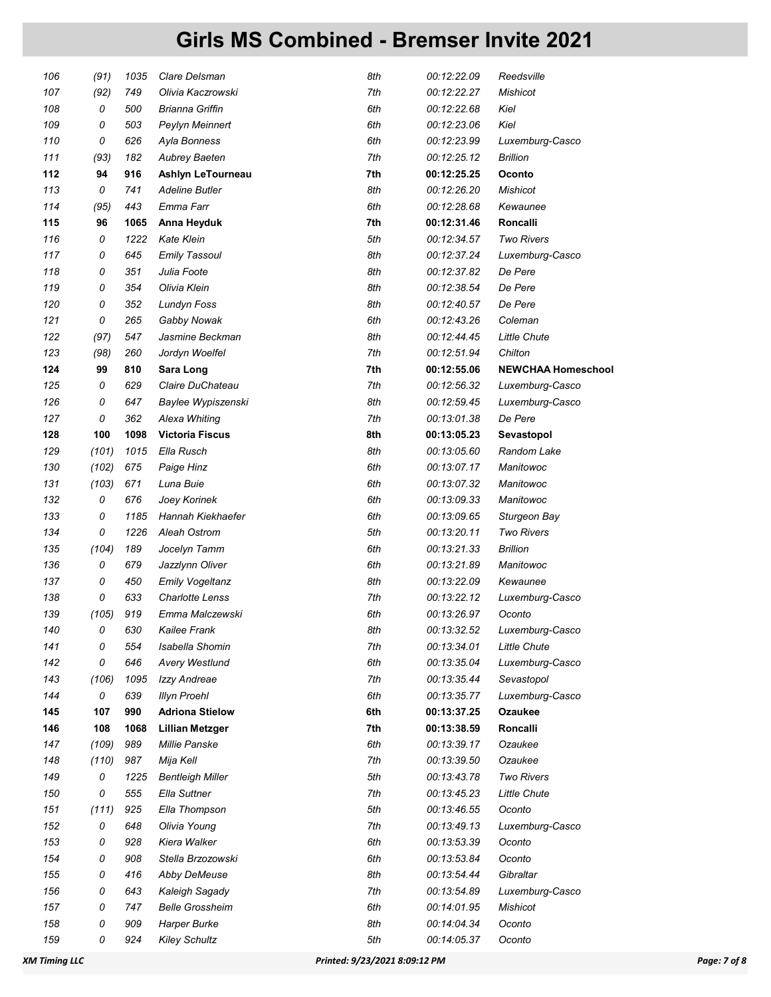| 106 | (91)  | 1035 | Clare Delsman           | 8th | 00:12:22.09 | Reedsville                |
|-----|-------|------|-------------------------|-----|-------------|---------------------------|
| 107 | (92)  | 749  | Olivia Kaczrowski       | 7th | 00:12:22.27 | Mishicot                  |
| 108 | 0     | 500  | Brianna Griffin         | 6th | 00:12:22.68 | Kiel                      |
| 109 | 0     | 503  | Peylyn Meinnert         | 6th | 00:12:23.06 | Kiel                      |
| 110 | 0     | 626  | Ayla Bonness            | 6th | 00:12:23.99 | Luxemburg-Casco           |
| 111 | (93)  | 182  | <b>Aubrey Baeten</b>    | 7th | 00:12:25.12 | <b>Brillion</b>           |
| 112 | 94    | 916  | Ashlyn LeTourneau       | 7th | 00:12:25.25 | Oconto                    |
| 113 | 0     | 741  | <b>Adeline Butler</b>   | 8th | 00:12:26.20 | Mishicot                  |
| 114 | (95)  | 443  | Emma Farr               | 6th | 00:12:28.68 | Kewaunee                  |
| 115 | 96    | 1065 | Anna Heyduk             | 7th | 00:12:31.46 | <b>Roncalli</b>           |
| 116 | 0     | 1222 | <b>Kate Klein</b>       | 5th | 00:12:34.57 | <b>Two Rivers</b>         |
| 117 | 0     | 645  | <b>Emily Tassoul</b>    | 8th | 00:12:37.24 | Luxemburg-Casco           |
| 118 | 0     | 351  | Julia Foote             | 8th | 00:12:37.82 | De Pere                   |
| 119 | 0     | 354  | Olivia Klein            | 8th | 00:12:38.54 | De Pere                   |
| 120 | 0     | 352  | Lundyn Foss             | 8th | 00:12:40.57 | De Pere                   |
| 121 | 0     | 265  | Gabby Nowak             | 6th | 00:12:43.26 | Coleman                   |
| 122 | (97)  | 547  | Jasmine Beckman         | 8th | 00:12:44.45 | <b>Little Chute</b>       |
| 123 | (98)  | 260  | Jordyn Woelfel          | 7th | 00:12:51.94 | Chilton                   |
| 124 | 99    | 810  | Sara Long               | 7th | 00:12:55.06 | <b>NEWCHAA Homeschool</b> |
| 125 | 0     | 629  | Claire DuChateau        | 7th | 00:12:56.32 | Luxemburg-Casco           |
| 126 | 0     | 647  | Baylee Wypiszenski      | 8th | 00:12:59.45 | Luxemburg-Casco           |
| 127 | 0     | 362  | Alexa Whiting           | 7th | 00:13:01.38 | De Pere                   |
| 128 | 100   | 1098 | <b>Victoria Fiscus</b>  | 8th | 00:13:05.23 | Sevastopol                |
| 129 | (101) | 1015 | Ella Rusch              | 8th | 00:13:05.60 | Random Lake               |
| 130 | (102) | 675  | Paige Hinz              | 6th | 00:13:07.17 | Manitowoc                 |
| 131 | (103) | 671  | Luna Buie               | 6th | 00:13:07.32 | Manitowoc                 |
| 132 | 0     | 676  | Joey Korinek            | 6th | 00:13:09.33 | Manitowoc                 |
| 133 | 0     | 1185 | Hannah Kiekhaefer       | 6th | 00:13:09.65 | Sturgeon Bay              |
| 134 | 0     | 1226 | Aleah Ostrom            | 5th | 00:13:20.11 | <b>Two Rivers</b>         |
| 135 | (104) | 189  | Jocelyn Tamm            | 6th | 00:13:21.33 | <b>Brillion</b>           |
| 136 | 0     | 679  | Jazzlynn Oliver         | 6th | 00:13:21.89 | Manitowoc                 |
| 137 | 0     | 450  | Emily Vogeltanz         | 8th | 00:13:22.09 | Kewaunee                  |
| 138 | 0     | 633  | <b>Charlotte Lenss</b>  | 7th | 00:13:22.12 | Luxemburg-Casco           |
| 139 | (105) | 919  | Emma Malczewski         | 6th | 00:13:26.97 | Oconto                    |
| 140 | 0     | 630  | Kailee Frank            | 8th | 00:13:32.52 | Luxemburg-Casco           |
| 141 | 0     | 554  | Isabella Shomin         | 7th | 00:13:34.01 | <b>Little Chute</b>       |
| 142 | 0     | 646  | <b>Avery Westlund</b>   | 6th | 00:13:35.04 | Luxemburg-Casco           |
| 143 | (106) | 1095 | Izzy Andreae            | 7th | 00:13:35.44 | Sevastopol                |
| 144 | 0     | 639  | <b>Illyn Proehl</b>     | 6th | 00:13:35.77 | Luxemburg-Casco           |
| 145 | 107   | 990  | <b>Adriona Stielow</b>  | 6th | 00:13:37.25 | Ozaukee                   |
| 146 | 108   | 1068 | <b>Lillian Metzger</b>  | 7th | 00:13:38.59 | <b>Roncalli</b>           |
| 147 | (109) | 989  | Millie Panske           | 6th | 00:13:39.17 | Ozaukee                   |
| 148 | (110) | 987  | Mija Kell               | 7th | 00:13:39.50 | Ozaukee                   |
| 149 | 0     | 1225 | <b>Bentleigh Miller</b> | 5th | 00:13:43.78 | <b>Two Rivers</b>         |
| 150 | 0     | 555  | Ella Suttner            | 7th | 00:13:45.23 | <b>Little Chute</b>       |
| 151 | (111) | 925  | Ella Thompson           | 5th | 00:13:46.55 | Oconto                    |
| 152 | 0     | 648  | Olivia Young            | 7th | 00:13:49.13 | Luxemburg-Casco           |
| 153 | 0     | 928  | Kiera Walker            | 6th | 00:13:53.39 | Oconto                    |
| 154 | 0     | 908  | Stella Brzozowski       | 6th | 00:13:53.84 | Oconto                    |
| 155 | 0     | 416  | Abby DeMeuse            | 8th | 00:13:54.44 | Gibraltar                 |
| 156 | 0     | 643  | Kaleigh Sagady          | 7th | 00:13:54.89 | Luxemburg-Casco           |
| 157 | 0     | 747  | <b>Belle Grossheim</b>  | 6th | 00:14:01.95 | Mishicot                  |
| 158 | 0     | 909  | Harper Burke            | 8th | 00:14:04.34 | Oconto                    |
| 159 | 0     | 924  | <b>Kiley Schultz</b>    | 5th | 00:14:05.37 | Oconto                    |